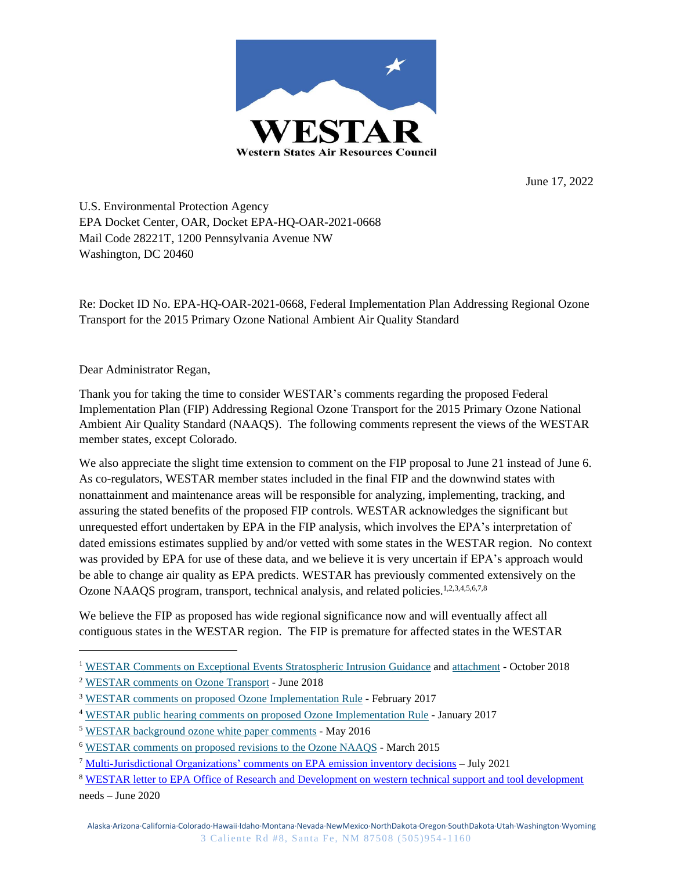

June 17, 2022

U.S. Environmental Protection Agency EPA Docket Center, OAR, Docket EPA-HQ-OAR-2021-0668 Mail Code 28221T, 1200 Pennsylvania Avenue NW Washington, DC 20460

Re: Docket ID No. EPA-HQ-OAR-2021-0668, Federal Implementation Plan Addressing Regional Ozone Transport for the 2015 Primary Ozone National Ambient Air Quality Standard

Dear Administrator Regan,

Thank you for taking the time to consider WESTAR's comments regarding the proposed Federal Implementation Plan (FIP) Addressing Regional Ozone Transport for the 2015 Primary Ozone National Ambient Air Quality Standard (NAAQS). The following comments represent the views of the WESTAR member states, except Colorado.

We also appreciate the slight time extension to comment on the FIP proposal to June 21 instead of June 6. As co-regulators, WESTAR member states included in the final FIP and the downwind states with nonattainment and maintenance areas will be responsible for analyzing, implementing, tracking, and assuring the stated benefits of the proposed FIP controls. WESTAR acknowledges the significant but unrequested effort undertaken by EPA in the FIP analysis, which involves the EPA's interpretation of dated emissions estimates supplied by and/or vetted with some states in the WESTAR region. No context was provided by EPA for use of these data, and we believe it is very uncertain if EPA's approach would be able to change air quality as EPA predicts. WESTAR has previously commented extensively on the Ozone NAAOS program, transport, technical analysis, and related policies.<sup>1,2,3,4,5,6,7,8</sup>

We believe the FIP as proposed has wide regional significance now and will eventually affect all contiguous states in the WESTAR region. The FIP is premature for affected states in the WESTAR

<sup>&</sup>lt;sup>1</sup> WESTAR Comments on Exceptional Events Stratospheric Intrusion Guidance and attachment - October 2018

<sup>2</sup> WESTAR comments on Ozone Transport - June 2018

<sup>3</sup> WESTAR comments on proposed Ozone Implementation Rule - February 2017

<sup>4</sup> WESTAR public hearing comments on proposed Ozone Implementation Rule - January 2017

<sup>5</sup> WESTAR background ozone white paper comments - May 2016

<sup>6</sup> WESTAR comments on proposed revisions to the Ozone NAAQS - March 2015

<sup>7</sup> Multi-Jurisdictional Organizations' comments on EPA emission inventory decisions – July 2021

<sup>8</sup> WESTAR letter to EPA Office of Research and Development on western technical support and tool development needs – June 2020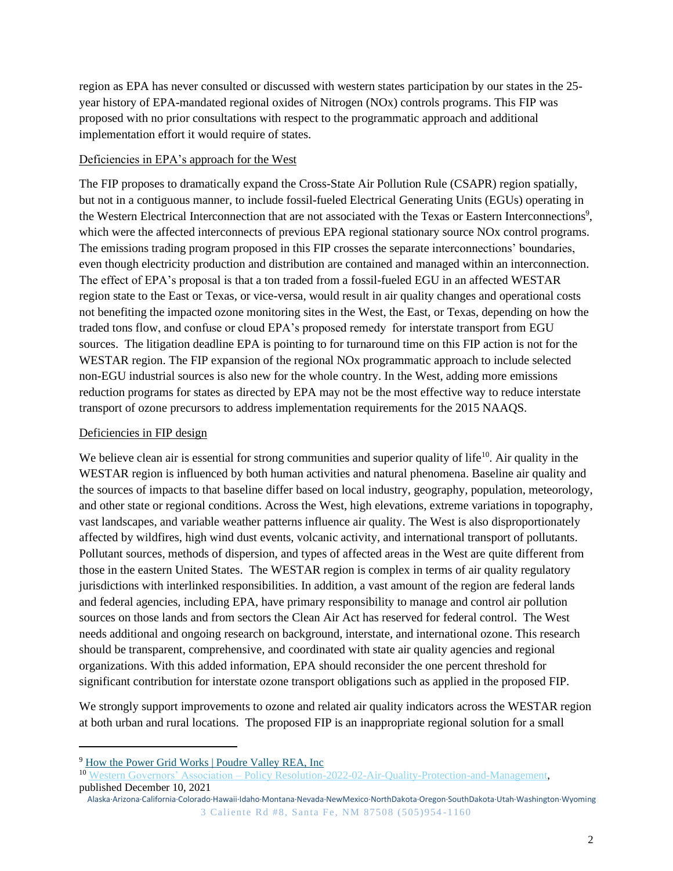region as EPA has never consulted or discussed with western states participation by our states in the 25 year history of EPA-mandated regional oxides of Nitrogen (NOx) controls programs. This FIP was proposed with no prior consultations with respect to the programmatic approach and additional implementation effort it would require of states.

### Deficiencies in EPA's approach for the West

The FIP proposes to dramatically expand the Cross-State Air Pollution Rule (CSAPR) region spatially, but not in a contiguous manner, to include fossil-fueled Electrical Generating Units (EGUs) operating in the Western Electrical Interconnection that are not associated with the Texas or Eastern Interconnections 9 , which were the affected interconnects of previous EPA regional stationary source NOx control programs. The emissions trading program proposed in this FIP crosses the separate interconnections' boundaries, even though electricity production and distribution are contained and managed within an interconnection. The effect of EPA's proposal is that a ton traded from a fossil-fueled EGU in an affected WESTAR region state to the East or Texas, or vice-versa, would result in air quality changes and operational costs not benefiting the impacted ozone monitoring sites in the West, the East, or Texas, depending on how the traded tons flow, and confuse or cloud EPA's proposed remedy for interstate transport from EGU sources. The litigation deadline EPA is pointing to for turnaround time on this FIP action is not for the WESTAR region. The FIP expansion of the regional NOx programmatic approach to include selected non-EGU industrial sources is also new for the whole country. In the West, adding more emissions reduction programs for states as directed by EPA may not be the most effective way to reduce interstate transport of ozone precursors to address implementation requirements for the 2015 NAAQS.

# Deficiencies in FIP design

We believe clean air is essential for strong communities and superior quality of life<sup>10</sup>. Air quality in the WESTAR region is influenced by both human activities and natural phenomena. Baseline air quality and the sources of impacts to that baseline differ based on local industry, geography, population, meteorology, and other state or regional conditions. Across the West, high elevations, extreme variations in topography, vast landscapes, and variable weather patterns influence air quality. The West is also disproportionately affected by wildfires, high wind dust events, volcanic activity, and international transport of pollutants. Pollutant sources, methods of dispersion, and types of affected areas in the West are quite different from those in the eastern United States. The WESTAR region is complex in terms of air quality regulatory jurisdictions with interlinked responsibilities. In addition, a vast amount of the region are federal lands and federal agencies, including EPA, have primary responsibility to manage and control air pollution sources on those lands and from sectors the Clean Air Act has reserved for federal control. The West needs additional and ongoing research on background, interstate, and international ozone. This research should be transparent, comprehensive, and coordinated with state air quality agencies and regional organizations. With this added information, EPA should reconsider the one percent threshold for significant contribution for interstate ozone transport obligations such as applied in the proposed FIP.

We strongly support improvements to ozone and related air quality indicators across the WESTAR region at both urban and rural locations. The proposed FIP is an inappropriate regional solution for a small

<sup>&</sup>lt;sup>9</sup> How the Power Grid Works | Poudre Valley REA, Inc

<sup>&</sup>lt;sup>10</sup> Western Governors' Association – Policy Resolution-2022-02-Air-Quality-Protection-and-Management, published December 10, 2021

Alaska·Arizona·California·Colorado·Hawaii·Idaho·Montana·Nevada·NewMexico·NorthDakota·Oregon·SouthDakota·Utah·Washington·Wyoming 3 Caliente Rd #8, Santa Fe, NM 87508 (505)954 -1160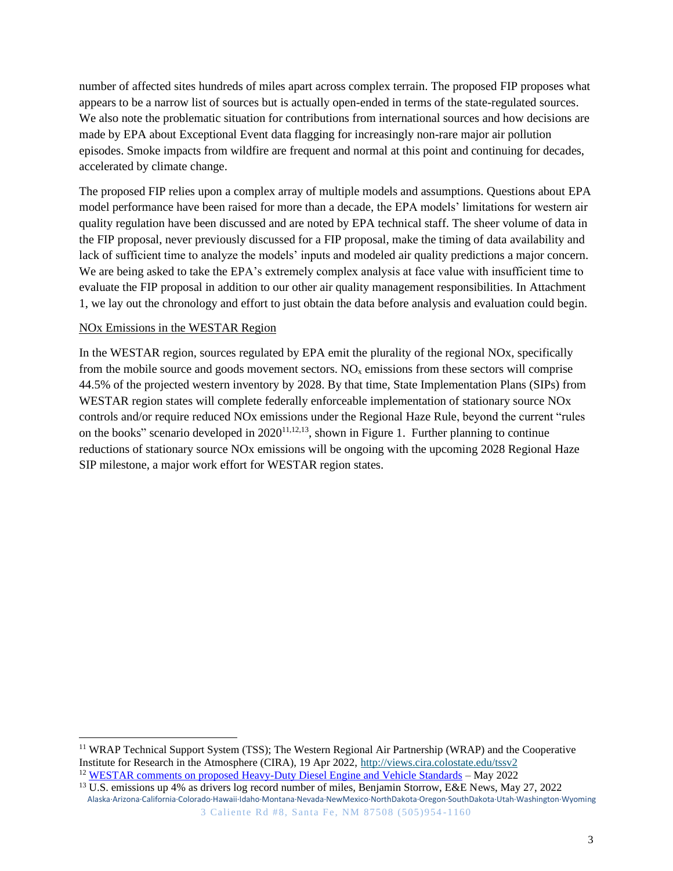number of affected sites hundreds of miles apart across complex terrain. The proposed FIP proposes what appears to be a narrow list of sources but is actually open-ended in terms of the state-regulated sources. We also note the problematic situation for contributions from international sources and how decisions are made by EPA about Exceptional Event data flagging for increasingly non-rare major air pollution episodes. Smoke impacts from wildfire are frequent and normal at this point and continuing for decades, accelerated by climate change.

The proposed FIP relies upon a complex array of multiple models and assumptions. Questions about EPA model performance have been raised for more than a decade, the EPA models' limitations for western air quality regulation have been discussed and are noted by EPA technical staff. The sheer volume of data in the FIP proposal, never previously discussed for a FIP proposal, make the timing of data availability and lack of sufficient time to analyze the models' inputs and modeled air quality predictions a major concern. We are being asked to take the EPA's extremely complex analysis at face value with insufficient time to evaluate the FIP proposal in addition to our other air quality management responsibilities. In Attachment 1, we lay out the chronology and effort to just obtain the data before analysis and evaluation could begin.

### NOx Emissions in the WESTAR Region

In the WESTAR region, sources regulated by EPA emit the plurality of the regional NOx, specifically from the mobile source and goods movement sectors.  $NO<sub>x</sub>$  emissions from these sectors will comprise 44.5% of the projected western inventory by 2028. By that time, State Implementation Plans (SIPs) from WESTAR region states will complete federally enforceable implementation of stationary source NOx controls and/or require reduced NOx emissions under the Regional Haze Rule, beyond the current "rules on the books" scenario developed in  $2020^{11,12,13}$ , shown in Figure 1. Further planning to continue reductions of stationary source NOx emissions will be ongoing with the upcoming 2028 Regional Haze SIP milestone, a major work effort for WESTAR region states.

<sup>11</sup> WRAP Technical Support System (TSS); The Western Regional Air Partnership (WRAP) and the Cooperative Institute for Research in the Atmosphere (CIRA), 19 Apr 2022, http://views.cira.colostate.edu/tssv2 <sup>12</sup> WESTAR comments on proposed Heavy-Duty Diesel Engine and Vehicle Standards – May 2022

Alaska·Arizona·California·Colorado·Hawaii·Idaho·Montana·Nevada·NewMexico·NorthDakota·Oregon·SouthDakota·Utah·Washington·Wyoming 3 Caliente Rd #8, Santa Fe, NM 87508 (505)954 -1160 <sup>13</sup> U.S. emissions up 4% as drivers log record number of miles, Benjamin Storrow, E&E News, May 27, 2022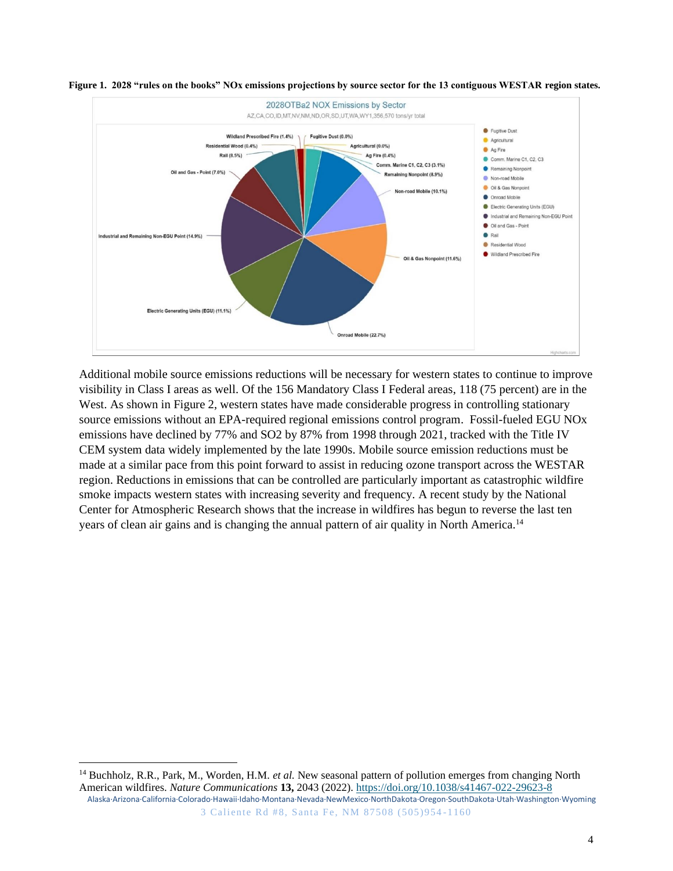



Additional mobile source emissions reductions will be necessary for western states to continue to improve visibility in Class I areas as well. Of the 156 Mandatory Class I Federal areas, 118 (75 percent) are in the West. As shown in Figure 2, western states have made considerable progress in controlling stationary source emissions without an EPA-required regional emissions control program. Fossil-fueled EGU NOx emissions have declined by 77% and SO2 by 87% from 1998 through 2021, tracked with the Title IV CEM system data widely implemented by the late 1990s. Mobile source emission reductions must be made at a similar pace from this point forward to assist in reducing ozone transport across the WESTAR region. Reductions in emissions that can be controlled are particularly important as catastrophic wildfire smoke impacts western states with increasing severity and frequency. A recent study by the National Center for Atmospheric Research shows that the increase in wildfires has begun to reverse the last ten years of clean air gains and is changing the annual pattern of air quality in North America.<sup>14</sup>

Alaska·Arizona·California·Colorado·Hawaii·Idaho·Montana·Nevada·NewMexico·NorthDakota·Oregon·SouthDakota·Utah·Washington·Wyoming 3 Caliente Rd #8, Santa Fe, NM 87508 (505)954 -1160 <sup>14</sup> Buchholz, R.R., Park, M., Worden, H.M. *et al.* New seasonal pattern of pollution emerges from changing North American wildfires. *Nature Communications* **13,** 2043 (2022). https://doi.org/10.1038/s41467-022-29623-8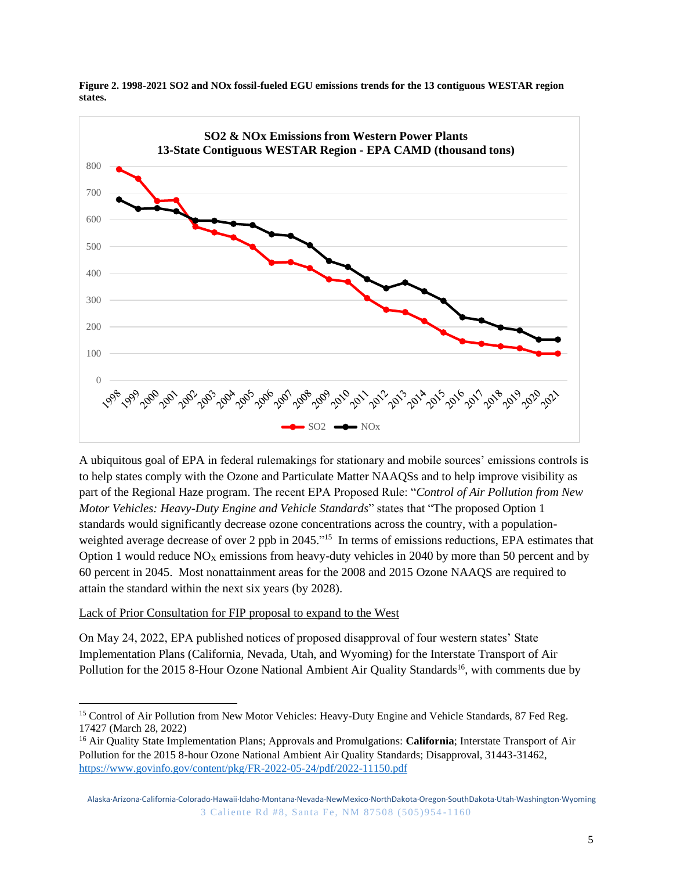

**Figure 2. 1998-2021 SO2 and NOx fossil-fueled EGU emissions trends for the 13 contiguous WESTAR region states.**

A ubiquitous goal of EPA in federal rulemakings for stationary and mobile sources' emissions controls is to help states comply with the Ozone and Particulate Matter NAAQSs and to help improve visibility as part of the Regional Haze program. The recent EPA Proposed Rule: "*Control of Air Pollution from New Motor Vehicles: Heavy-Duty Engine and Vehicle Standards*" states that "The proposed Option 1 standards would significantly decrease ozone concentrations across the country, with a populationweighted average decrease of over 2 ppb in 2045."<sup>15</sup> In terms of emissions reductions, EPA estimates that Option 1 would reduce  $NO<sub>X</sub>$  emissions from heavy-duty vehicles in 2040 by more than 50 percent and by 60 percent in 2045. Most nonattainment areas for the 2008 and 2015 Ozone NAAQS are required to attain the standard within the next six years (by 2028).

# Lack of Prior Consultation for FIP proposal to expand to the West

On May 24, 2022, EPA published notices of proposed disapproval of four western states' State Implementation Plans (California, Nevada, Utah, and Wyoming) for the Interstate Transport of Air Pollution for the 2015 8-Hour Ozone National Ambient Air Quality Standards<sup>16</sup>, with comments due by

<sup>&</sup>lt;sup>15</sup> Control of Air Pollution from New Motor Vehicles: Heavy-Duty Engine and Vehicle Standards, 87 Fed Reg. 17427 (March 28, 2022)

<sup>16</sup> Air Quality State Implementation Plans; Approvals and Promulgations: **California**; Interstate Transport of Air Pollution for the 2015 8-hour Ozone National Ambient Air Quality Standards; Disapproval, 31443-31462, https://www.govinfo.gov/content/pkg/FR-2022-05-24/pdf/2022-11150.pdf

Alaska·Arizona·California·Colorado·Hawaii·Idaho·Montana·Nevada·NewMexico·NorthDakota·Oregon·SouthDakota·Utah·Washington·Wyoming 3 Caliente Rd #8, Santa Fe, NM 87508 (505)954 -1160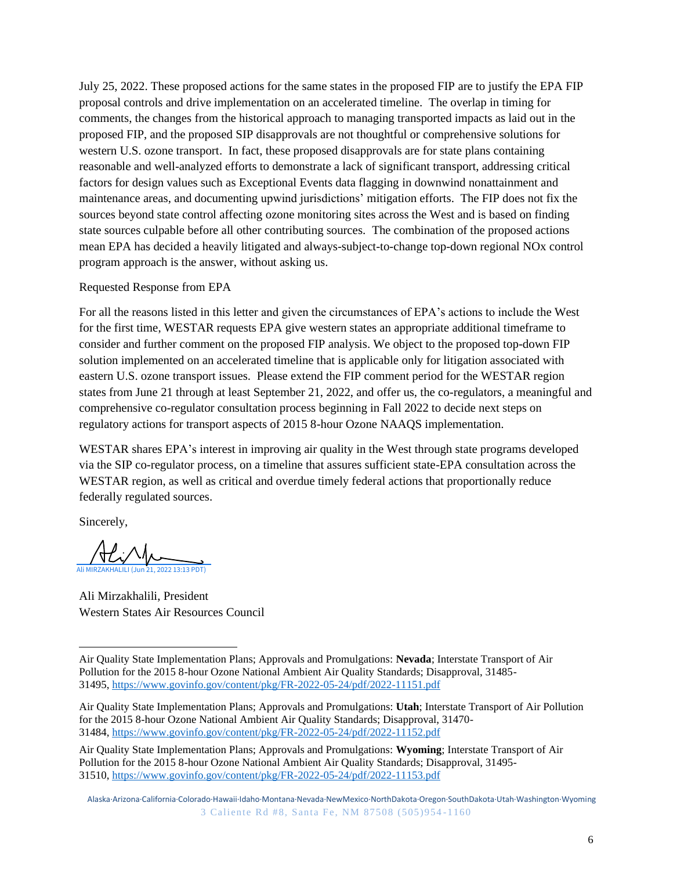July 25, 2022. These proposed actions for the same states in the proposed FIP are to justify the EPA FIP proposal controls and drive implementation on an accelerated timeline. The overlap in timing for comments, the changes from the historical approach to managing transported impacts as laid out in the proposed FIP, and the proposed SIP disapprovals are not thoughtful or comprehensive solutions for western U.S. ozone transport. In fact, these proposed disapprovals are for state plans containing reasonable and well-analyzed efforts to demonstrate a lack of significant transport, addressing critical factors for design values such as Exceptional Events data flagging in downwind nonattainment and maintenance areas, and documenting upwind jurisdictions' mitigation efforts. The FIP does not fix the sources beyond state control affecting ozone monitoring sites across the West and is based on finding state sources culpable before all other contributing sources. The combination of the proposed actions mean EPA has decided a heavily litigated and always-subject-to-change top-down regional NOx control program approach is the answer, without asking us.

### Requested Response from EPA

For all the reasons listed in this letter and given the circumstances of EPA's actions to include the West for the first time, WESTAR requests EPA give western states an appropriate additional timeframe to consider and further comment on the proposed FIP analysis. We object to the proposed top-down FIP solution implemented on an accelerated timeline that is applicable only for litigation associated with eastern U.S. ozone transport issues. Please extend the FIP comment period for the WESTAR region states from June 21 through at least September 21, 2022, and offer us, the co-regulators, a meaningful and comprehensive co-regulator consultation process beginning in Fall 2022 to decide next steps on regulatory actions for transport aspects of 2015 8-hour Ozone NAAQS implementation.

WESTAR shares EPA's interest in improving air quality in the West through state programs developed via the SIP co-regulator process, on a timeline that assures sufficient state-EPA consultation across the WESTAR region, as well as critical and overdue timely federal actions that proportionally reduce federally regulated sources.

Sincerely,

Ali MIRZAKHALILI (Jun 21, 2022 13:13 PDT)

Ali Mirzakhalili, President Western States Air Resources Council

Air Quality State Implementation Plans; Approvals and Promulgations: **Nevada**; Interstate Transport of Air Pollution for the 2015 8-hour Ozone National Ambient Air Quality Standards; Disapproval, 31485- 31495, https://www.govinfo.gov/content/pkg/FR-2022-05-24/pdf/2022-11151.pdf

Air Quality State Implementation Plans; Approvals and Promulgations: **Utah**; Interstate Transport of Air Pollution for the 2015 8-hour Ozone National Ambient Air Quality Standards; Disapproval, 31470- 31484, https://www.govinfo.gov/content/pkg/FR-2022-05-24/pdf/2022-11152.pdf

Air Quality State Implementation Plans; Approvals and Promulgations: **Wyoming**; Interstate Transport of Air Pollution for the 2015 8-hour Ozone National Ambient Air Quality Standards; Disapproval, 31495- 31510, https://www.govinfo.gov/content/pkg/FR-2022-05-24/pdf/2022-11153.pdf

Alaska·Arizona·California·Colorado·Hawaii·Idaho·Montana·Nevada·NewMexico·NorthDakota·Oregon·SouthDakota·Utah·Washington·Wyoming 3 Caliente Rd #8, Santa Fe, NM 87508 (505)954 -1160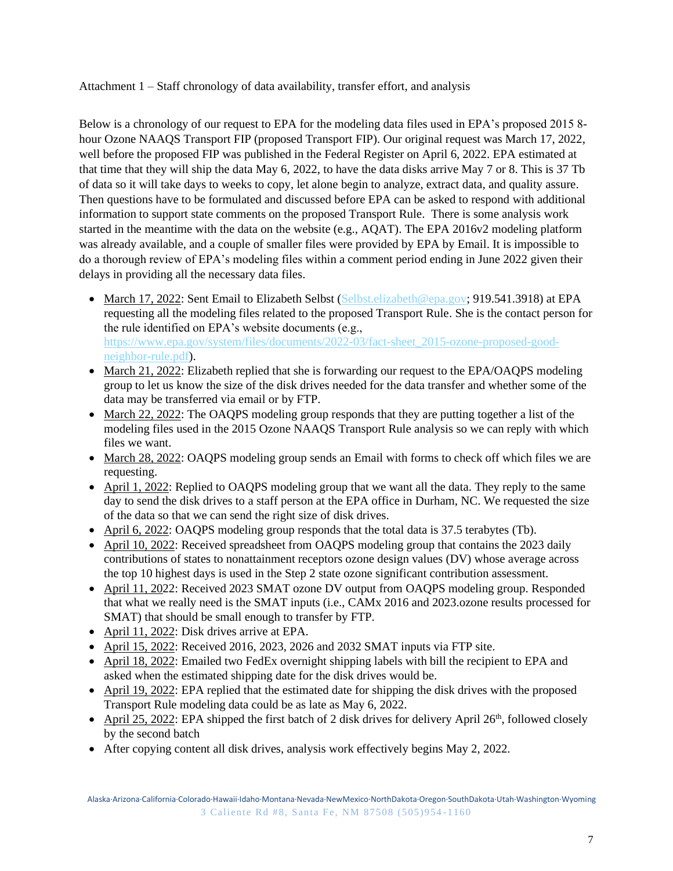Attachment 1 – Staff chronology of data availability, transfer effort, and analysis

Below is a chronology of our request to EPA for the modeling data files used in EPA's proposed 2015 8 hour Ozone NAAQS Transport FIP (proposed Transport FIP). Our original request was March 17, 2022, well before the proposed FIP was published in the Federal Register on April 6, 2022. EPA estimated at that time that they will ship the data May 6, 2022, to have the data disks arrive May 7 or 8. This is 37 Tb of data so it will take days to weeks to copy, let alone begin to analyze, extract data, and quality assure. Then questions have to be formulated and discussed before EPA can be asked to respond with additional information to support state comments on the proposed Transport Rule. There is some analysis work started in the meantime with the data on the website (e.g., AQAT). The EPA 2016v2 modeling platform was already available, and a couple of smaller files were provided by EPA by Email. It is impossible to do a thorough review of EPA's modeling files within a comment period ending in June 2022 given their delays in providing all the necessary data files.

- March 17, 2022: Sent Email to Elizabeth Selbst (Selbst.elizabeth@epa.gov; 919.541.3918) at EPA requesting all the modeling files related to the proposed Transport Rule. She is the contact person for the rule identified on EPA's website documents (e.g., https://www.epa.gov/system/files/documents/2022-03/fact-sheet\_2015-ozone-proposed-goodneighbor-rule.pdf).
- March 21, 2022: Elizabeth replied that she is forwarding our request to the EPA/OAQPS modeling group to let us know the size of the disk drives needed for the data transfer and whether some of the data may be transferred via email or by FTP.
- March 22, 2022: The OAOPS modeling group responds that they are putting together a list of the modeling files used in the 2015 Ozone NAAQS Transport Rule analysis so we can reply with which files we want.
- March 28, 2022: OAQPS modeling group sends an Email with forms to check off which files we are requesting.
- April 1, 2022: Replied to OAQPS modeling group that we want all the data. They reply to the same day to send the disk drives to a staff person at the EPA office in Durham, NC. We requested the size of the data so that we can send the right size of disk drives.
- April 6, 2022: OAQPS modeling group responds that the total data is 37.5 terabytes (Tb).
- April 10, 2022: Received spreadsheet from OAQPS modeling group that contains the 2023 daily contributions of states to nonattainment receptors ozone design values (DV) whose average across the top 10 highest days is used in the Step 2 state ozone significant contribution assessment.
- April 11, 2022: Received 2023 SMAT ozone DV output from OAQPS modeling group. Responded that what we really need is the SMAT inputs (i.e., CAMx 2016 and 2023.ozone results processed for SMAT) that should be small enough to transfer by FTP.
- April 11, 2022: Disk drives arrive at EPA.
- April 15, 2022: Received 2016, 2023, 2026 and 2032 SMAT inputs via FTP site.
- April 18, 2022: Emailed two FedEx overnight shipping labels with bill the recipient to EPA and asked when the estimated shipping date for the disk drives would be.
- April 19, 2022: EPA replied that the estimated date for shipping the disk drives with the proposed Transport Rule modeling data could be as late as May 6, 2022.
- April 25, 2022: EPA shipped the first batch of 2 disk drives for delivery April 26<sup>th</sup>, followed closely by the second batch
- After copying content all disk drives, analysis work effectively begins May 2, 2022.